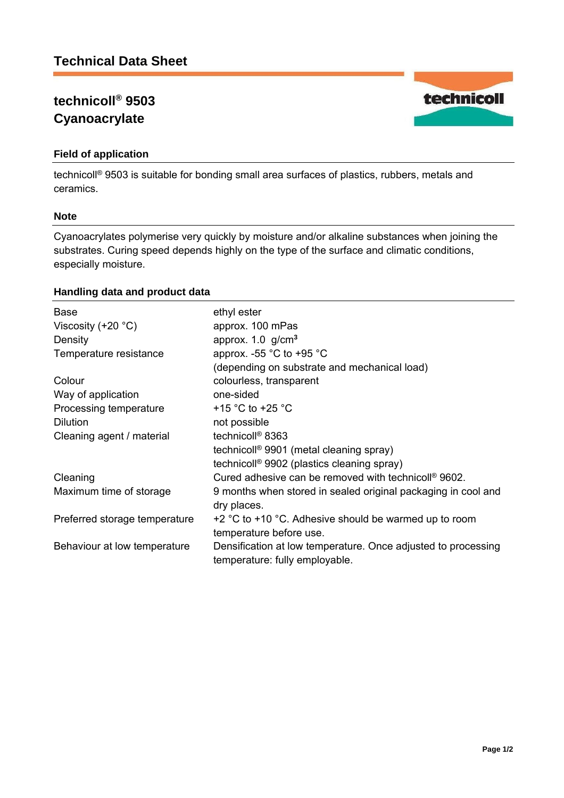# **technicoll® 9503 Cyanoacrylate**

# **Field of application**

technicoll® 9503 is suitable for bonding small area surfaces of plastics, rubbers, metals and ceramics.

#### **Note**

Cyanoacrylates polymerise very quickly by moisture and/or alkaline substances when joining the substrates. Curing speed depends highly on the type of the surface and climatic conditions, especially moisture.

# **Handling data and product data**

| <b>Base</b>                   | ethyl ester                                                                                     |
|-------------------------------|-------------------------------------------------------------------------------------------------|
| Viscosity $(+20 °C)$          | approx. 100 mPas                                                                                |
| Density                       | approx. 1.0 g/cm <sup>3</sup>                                                                   |
| Temperature resistance        | approx. -55 $^{\circ}$ C to +95 $^{\circ}$ C                                                    |
|                               | (depending on substrate and mechanical load)                                                    |
| Colour                        | colourless, transparent                                                                         |
| Way of application            | one-sided                                                                                       |
| Processing temperature        | +15 $\degree$ C to +25 $\degree$ C                                                              |
| <b>Dilution</b>               | not possible                                                                                    |
| Cleaning agent / material     | technicoll <sup>®</sup> 8363                                                                    |
|                               | technicoll <sup>®</sup> 9901 (metal cleaning spray)                                             |
|                               | technicoll <sup>®</sup> 9902 (plastics cleaning spray)                                          |
| Cleaning                      | Cured adhesive can be removed with technicoll® 9602.                                            |
| Maximum time of storage       | 9 months when stored in sealed original packaging in cool and<br>dry places.                    |
| Preferred storage temperature | $+2$ °C to $+10$ °C. Adhesive should be warmed up to room<br>temperature before use.            |
| Behaviour at low temperature  | Densification at low temperature. Once adjusted to processing<br>temperature: fully employable. |